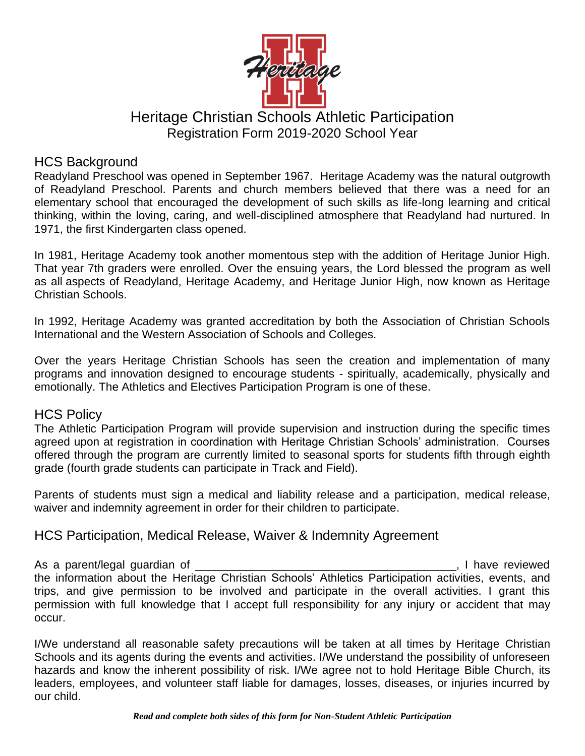

# Heritage Christian Schools Athletic Participation Registration Form 2019-2020 School Year

# HCS Background

Readyland Preschool was opened in September 1967. Heritage Academy was the natural outgrowth of Readyland Preschool. Parents and church members believed that there was a need for an elementary school that encouraged the development of such skills as life-long learning and critical thinking, within the loving, caring, and well-disciplined atmosphere that Readyland had nurtured. In 1971, the first Kindergarten class opened.

In 1981, Heritage Academy took another momentous step with the addition of Heritage Junior High. That year 7th graders were enrolled. Over the ensuing years, the Lord blessed the program as well as all aspects of Readyland, Heritage Academy, and Heritage Junior High, now known as Heritage Christian Schools.

In 1992, Heritage Academy was granted accreditation by both the Association of Christian Schools International and the Western Association of Schools and Colleges.

Over the years Heritage Christian Schools has seen the creation and implementation of many programs and innovation designed to encourage students - spiritually, academically, physically and emotionally. The Athletics and Electives Participation Program is one of these.

### HCS Policy

The Athletic Participation Program will provide supervision and instruction during the specific times agreed upon at registration in coordination with Heritage Christian Schools' administration. Courses offered through the program are currently limited to seasonal sports for students fifth through eighth grade (fourth grade students can participate in Track and Field).

Parents of students must sign a medical and liability release and a participation, medical release, waiver and indemnity agreement in order for their children to participate.

## HCS Participation, Medical Release, Waiver & Indemnity Agreement

As a parent/legal guardian of \_\_\_\_\_\_\_\_\_\_\_\_\_\_\_\_\_\_\_\_\_\_\_\_\_\_\_\_\_\_\_\_\_\_\_\_\_\_\_\_\_, I have reviewed the information about the Heritage Christian Schools' Athletics Participation activities, events, and trips, and give permission to be involved and participate in the overall activities. I grant this permission with full knowledge that I accept full responsibility for any injury or accident that may occur.

I/We understand all reasonable safety precautions will be taken at all times by Heritage Christian Schools and its agents during the events and activities. I/We understand the possibility of unforeseen hazards and know the inherent possibility of risk. I/We agree not to hold Heritage Bible Church, its leaders, employees, and volunteer staff liable for damages, losses, diseases, or injuries incurred by our child.